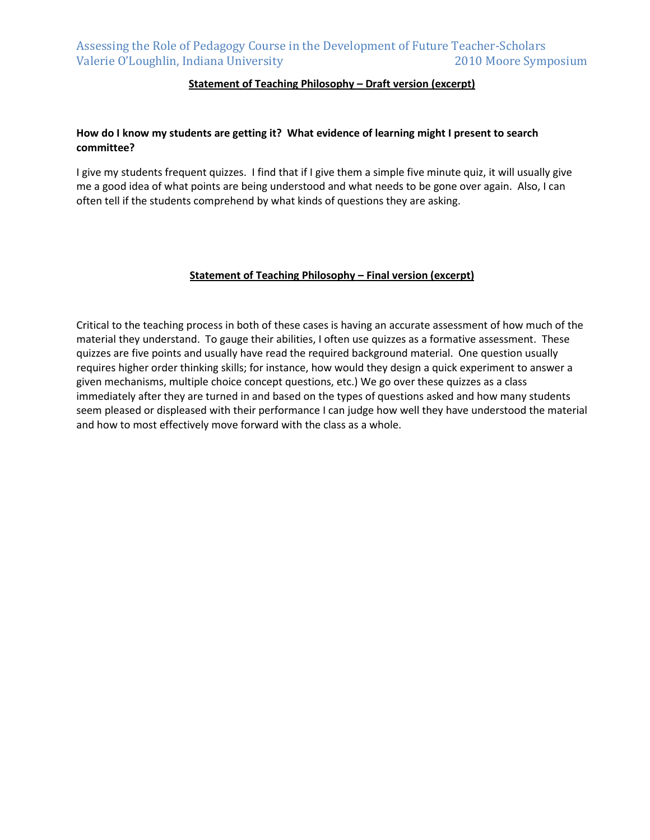### **Statement of Teaching Philosophy – Draft version (excerpt)**

### **How do I know my students are getting it? What evidence of learning might I present to search committee?**

I give my students frequent quizzes. I find that if I give them a simple five minute quiz, it will usually give me a good idea of what points are being understood and what needs to be gone over again. Also, I can often tell if the students comprehend by what kinds of questions they are asking.

#### **Statement of Teaching Philosophy – Final version (excerpt)**

Critical to the teaching process in both of these cases is having an accurate assessment of how much of the material they understand. To gauge their abilities, I often use quizzes as a formative assessment. These quizzes are five points and usually have read the required background material. One question usually requires higher order thinking skills; for instance, how would they design a quick experiment to answer a given mechanisms, multiple choice concept questions, etc.) We go over these quizzes as a class immediately after they are turned in and based on the types of questions asked and how many students seem pleased or displeased with their performance I can judge how well they have understood the material and how to most effectively move forward with the class as a whole.